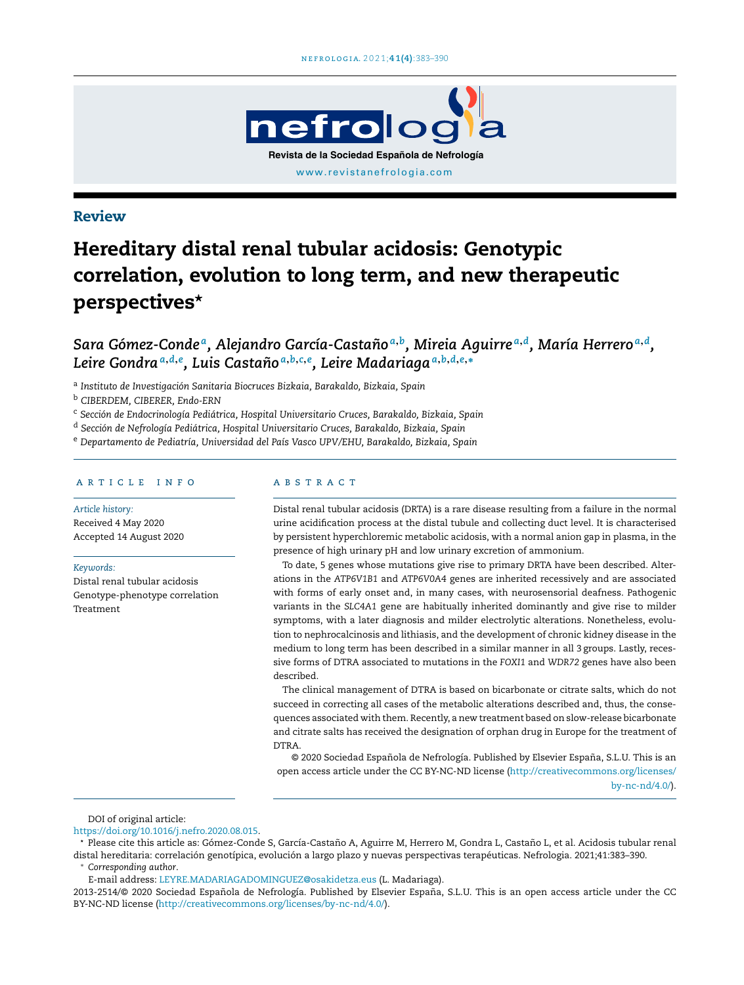

## Review

# Hereditary distal renal tubular acidosis: Genotypic correlation, evolution to long term, and new therapeutic perspectives\*

Sara Gómez-Condeª, Alejandro García-Castañoª<sup>,b</sup>, Mireia Aguirreª<sup>,d</sup>, María Herreroª<sup>,d</sup>, *Leire Gondra<sup>a</sup>*,*d*,*<sup>e</sup> , Luis Castano˜ a*,*b*,*c*,*e , Leire Madariaga<sup>a</sup>*,*b*,*d*,*e*,<sup>∗</sup>

a *Instituto de Investigación Sanitaria Biocruces Bizkaia, Barakaldo, Bizkaia, Spain*

<sup>b</sup> *CIBERDEM, CIBERER, Endo-ERN*

<sup>c</sup> *Sección de Endocrinología Pediátrica, Hospital Universitario Cruces, Barakaldo, Bizkaia, Spain*

<sup>d</sup> *Sección de Nefrología Pediátrica, Hospital Universitario Cruces, Barakaldo, Bizkaia, Spain*

<sup>e</sup> *Departamento de Pediatría, Universidad del País Vasco UPV/EHU, Barakaldo, Bizkaia, Spain*

## a r t i c l e i n f o

*Article history:* Received 4 May 2020 Accepted 14 August 2020

*Keywords:*

Distal renal tubular acidosis Genotype-phenotype correlation Treatment

## A B S T R A C T

Distal renal tubular acidosis (DRTA) is a rare disease resulting from a failure in the normal urine acidification process at the distal tubule and collecting duct level. It is characterised by persistent hyperchloremic metabolic acidosis, with a normal anion gap in plasma, in the presence of high urinary pH and low urinary excretion of ammonium.

To date, 5 genes whose mutations give rise to primary DRTA have been described. Alterations in the *ATP6V1B1* and *ATP6V0A4* genes are inherited recessively and are associated with forms of early onset and, in many cases, with neurosensorial deafness. Pathogenic variants in the *SLC4A1* gene are habitually inherited dominantly and give rise to milder symptoms, with a later diagnosis and milder electrolytic alterations. Nonetheless, evolution to nephrocalcinosis and lithiasis, and the development of chronic kidney disease in the medium to long term has been described in a similar manner in all 3 groups. Lastly, recessive forms of DTRA associated to mutations in the *FOXI1* and *WDR72* genes have also been described.

The clinical management of DTRA is based on bicarbonate or citrate salts, which do not succeed in correcting all cases of the metabolic alterations described and, thus, the consequences associated with them. Recently, a new treatment based on slow-release bicarbonate and citrate salts has received the designation of orphan drug in Europe for the treatment of DTRA.

© 2020 Sociedad Española de Nefrología. Published by Elsevier España, S.L.U. This is an open access article under the CC BY-NC-ND license [\(http://creativecommons.org/licenses/](http://creativecommons.org/licenses/by-nc-nd/4.0/) [by-nc-nd/4.0/\)](http://creativecommons.org/licenses/by-nc-nd/4.0/).

DOI of original article:

[https://doi.org/10.1016/j.nefro.2020.08.015.](https://doi.org/10.1016/j.nefro.2020.08.015)

\* Please cite this article as: Gómez-Conde S, García-Castaño A, Aguirre M, Herrero M, Gondra L, Castaño L, et al. Acidosis tubular renal distal hereditaria: correlación genotípica, evolución a largo plazo y nuevas perspectivas terapéuticas. Nefrologia. 2021;41:383–390. <sup>∗</sup> *Corresponding author*.

E-mail address: [LEYRE.MADARIAGADOMINGUEZ@osakidetza.eus](mailto:LEYRE.MADARIAGADOMINGUEZ@osakidetza.eus) (L. Madariaga).

2013-2514/© 2020 Sociedad Española de Nefrología. Published by Elsevier España, S.L.U. This is an open access article under the CC BY-NC-ND license (<http://creativecommons.org/licenses/by-nc-nd/4.0/>).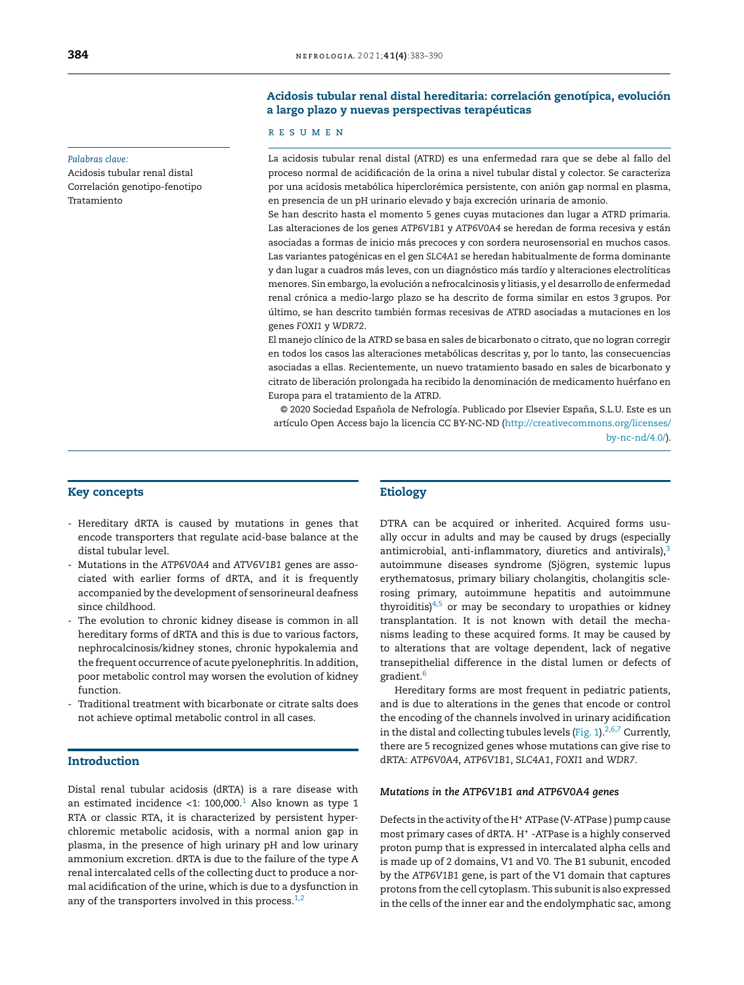#### *Palabras clave:*

Acidosis tubular renal distal Correlación genotipo-fenotipo Tratamiento

#### **384 net f ne f rologia.** 2021;41(4):383-390

## Acidosis tubular renal distal hereditaria: correlación genotípica, evolución a largo plazo y nuevas perspectivas terapéuticas

#### r e s u m e n

La acidosis tubular renal distal (ATRD) es una enfermedad rara que se debe al fallo del proceso normal de acidificación de la orina a nivel tubular distal y colector. Se caracteriza por una acidosis metabólica hiperclorémica persistente, con anión gap normal en plasma, en presencia de un pH urinario elevado y baja excreción urinaria de amonio.

Se han descrito hasta el momento 5 genes cuyas mutaciones dan lugar a ATRD primaria. Las alteraciones de los genes *ATP6V1B1* y *ATP6V0A4* se heredan de forma recesiva y están asociadas a formas de inicio más precoces y con sordera neurosensorial en muchos casos. Las variantes patogénicas en el gen *SLC4A1* se heredan habitualmente de forma dominante y dan lugar a cuadros más leves, con un diagnóstico más tardío y alteraciones electrolíticas menores. Sin embargo, la evolución a nefrocalcinosis y litiasis, y el desarrollo de enfermedad renal crónica a medio-largo plazo se ha descrito de forma similar en estos 3 grupos. Por último, se han descrito también formas recesivas de ATRD asociadas a mutaciones en los genes *FOXI1* y *WDR72*.

El manejo clínico de la ATRD se basa en sales de bicarbonato o citrato, que no logran corregir en todos los casos las alteraciones metabólicas descritas y, por lo tanto, las consecuencias asociadas a ellas. Recientemente, un nuevo tratamiento basado en sales de bicarbonato y citrato de liberación prolongada ha recibido la denominación de medicamento huérfano en Europa para el tratamiento de la ATRD.

© 2020 Sociedad Española de Nefrología. Publicado por Elsevier España, S.L.U. Este es un artículo Open Access bajo la licencia CC BY-NC-ND [\(http://creativecommons.org/licenses/](http://creativecommons.org/licenses/by-nc-nd/4.0/) [by-nc-nd/4.0/\)](http://creativecommons.org/licenses/by-nc-nd/4.0/).

## Key concepts

- Hereditary dRTA is caused by mutations in genes that encode transporters that regulate acid-base balance at the distal tubular level.
- Mutations in the *ATP6V0A4* and *ATV6V1B1* genes are associated with earlier forms of dRTA, and it is frequently accompanied by the development of sensorineural deafness since childhood.
- The evolution to chronic kidney disease is common in all hereditary forms of dRTA and this is due to various factors, nephrocalcinosis/kidney stones, chronic hypokalemia and the frequent occurrence of acute pyelonephritis. In addition, poor metabolic control may worsen the evolution of kidney function.
- Traditional treatment with bicarbonate or citrate salts does not achieve optimal metabolic control in all cases.

## Introduction

Distal renal tubular acidosis (dRTA) is a rare disease with an estimated incidence <[1](#page-5-0):  $100,000$ .<sup>1</sup> Also known as type 1 RTA or classic RTA, it is characterized by persistent hyperchloremic metabolic acidosis, with a normal anion gap in plasma, in the presence of high urinary pH and low urinary ammonium excretion. dRTA is due to the failure of the type A renal intercalated cells of the collecting duct to produce a normal acidification of the urine, which is due to a dysfunction in any of the transporters involved in this process. $1,2$ 

#### Etiology

DTRA can be acquired or inherited. Acquired forms usually occur in adults and may be caused by drugs (especially antimicrobial, anti-inflammatory, diuretics and antivirals), $3$ autoimmune diseases syndrome (Sjögren, systemic lupus erythematosus, primary biliary cholangitis, cholangitis sclerosing primary, autoimmune hepatitis and autoimmune thyroiditis) $4,5$  or may be secondary to uropathies or kidney transplantation. It is not known with detail the mechanisms leading to these acquired forms. It may be caused by to alterations that are voltage dependent, lack of negative transepithelial difference in the distal lumen or defects of gradient.<sup>[6](#page-5-0)</sup>

Hereditary forms are most frequent in pediatric patients, and is due to alterations in the genes that encode or control the encoding of the channels involved in urinary acidification in the distal and collecting tubules levels [\(Fig.](#page-2-0) 1). $2,6,7$  Currently, there are 5 recognized genes whose mutations can give rise to dRTA: *ATP6V0A4*, *ATP6V1B1*, *SLC4A1*, *FOXI1* and *WDR7*.

#### *Mutations in the ATP6V1B1 and ATP6V0A4 genes*

Defects in the activity of the H<sup>+</sup> ATPase (V-ATPase) pump cause most primary cases of dRTA. H<sup>+</sup> -ATPase is a highly conserved proton pump that is expressed in intercalated alpha cells and is made up of 2 domains, V1 and V0. The B1 subunit, encoded by the *ATP6V1B1* gene, is part of the V1 domain that captures protons from the cell cytoplasm. This subunit is also expressed in the cells of the inner ear and the endolymphatic sac, among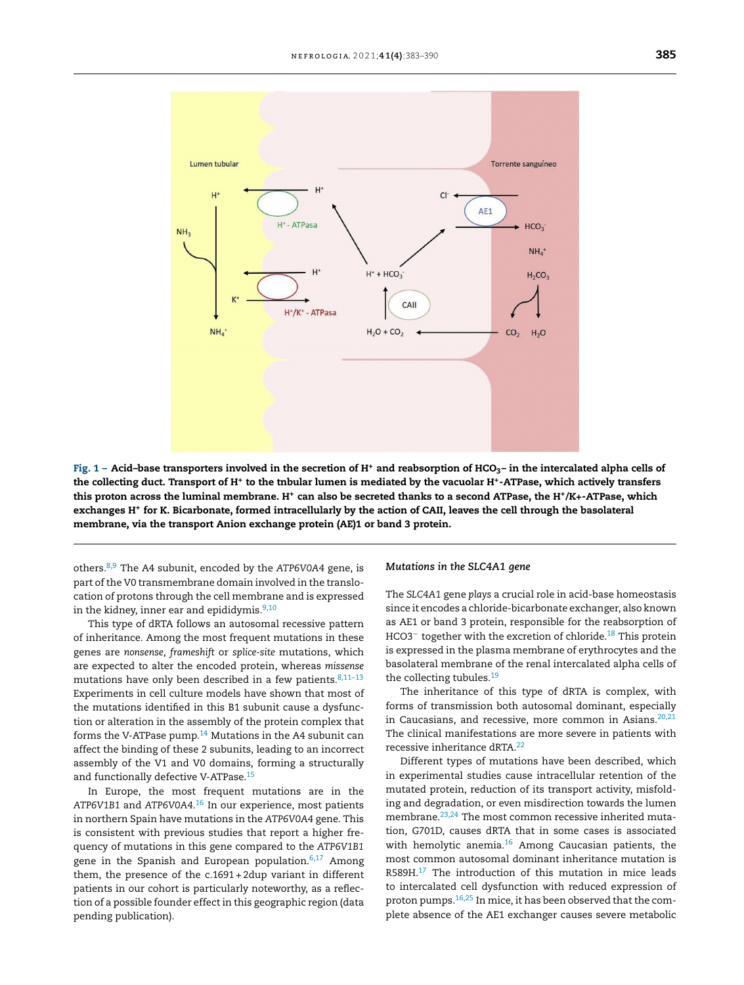<span id="page-2-0"></span>

Fig. 1 – Acid-base transporters involved in the secretion of H<sup>+</sup> and reabsorption of HCO<sub>3</sub>– in the intercalated alpha cells of the collecting duct. Transport of H\* to the tnbular lumen is mediated by the vacuolar H\*-ATPase, which actively transfers this proton across the luminal membrane. H<sup>+</sup> can also be secreted thanks to a second ATPase, the H<sup>+</sup> /K+-ATPase, which exchanges H<sup>+</sup> for K. Bicarbonate, formed intracellularly by the action of CAII, leaves the cell through the basolateral membrane, via the transport Anion exchange protein (AE)1 or band 3 protein.

others.[8,9](#page-5-0) The A4 subunit, encoded by the *ATP6V0A4* gene, is part of the V0 transmembrane domain involved in the translocation of protons through the cell membrane and is expressed in the kidney, inner ear and epididymis. $9,10$ 

This type of dRTA follows an autosomal recessive pattern of inheritance. Among the most frequent mutations in these genes are *nonsense*, *frameshift* or *splice-site* mutations, which are expected to alter the encoded protein, whereas *missense* mutations have only been described in a few patients. $8,11-13$ Experiments in cell culture models have shown that most of the mutations identified in this B1 subunit cause a dysfunction or alteration in the assembly of the protein complex that forms the V-ATPase pump. $14$  Mutations in the A4 subunit can affect the binding of these 2 subunits, leading to an incorrect assembly of the V1 and V0 domains, forming a structurally and functionally defective V-ATPase.[15](#page-6-0)

In Europe, the most frequent mutations are in the *ATP6V1B1* and *ATP6V0A4*. [16](#page-6-0) In our experience, most patients in northern Spain have mutations in the *ATP6V0A4* gene. This is consistent with previous studies that report a higher frequency of mutations in this gene compared to the *ATP6V1B1* gene in the Spanish and European population. $6,17$  Among them, the presence of the c.1691 + 2dup variant in different patients in our cohort is particularly noteworthy, as a reflection of a possible founder effect in this geographic region (data pending publication).

#### *Mutations in the SLC4A1 gene*

The *SLC4A1* gene *plays* a crucial role in acid-base homeostasis since it encodes a chloride-bicarbonate exchanger, also known as AE1 or band 3 protein, responsible for the reabsorption of HCO3<sup>-</sup> together with the excretion of chloride.<sup>[18](#page-6-0)</sup> This protein is expressed in the plasma membrane of erythrocytes and the basolateral membrane of the renal intercalated alpha cells of the collecting tubules.<sup>[19](#page-6-0)</sup>

The inheritance of this type of dRTA is complex, with forms of transmission both autosomal dominant, especially in Caucasians, and recessive, more common in Asians. $20,21$ The clinical manifestations are more severe in patients with recessive inheritance dRTA.[22](#page-6-0)

Different types of mutations have been described, which in experimental studies cause intracellular retention of the mutated protein, reduction of its transport activity, misfolding and degradation, or even misdirection towards the lumen membrane.<sup>[23,24](#page-6-0)</sup> The most common recessive inherited mutation, G701D, causes dRTA that in some cases is associated with hemolytic anemia. $16$  Among Caucasian patients, the most common autosomal dominant inheritance mutation is R589H.<sup>[17](#page-6-0)</sup> The introduction of this mutation in mice leads to intercalated cell dysfunction with reduced expression of proton pumps.[16,25](#page-6-0) In mice, it has been observed that the complete absence of the AE1 exchanger causes severe metabolic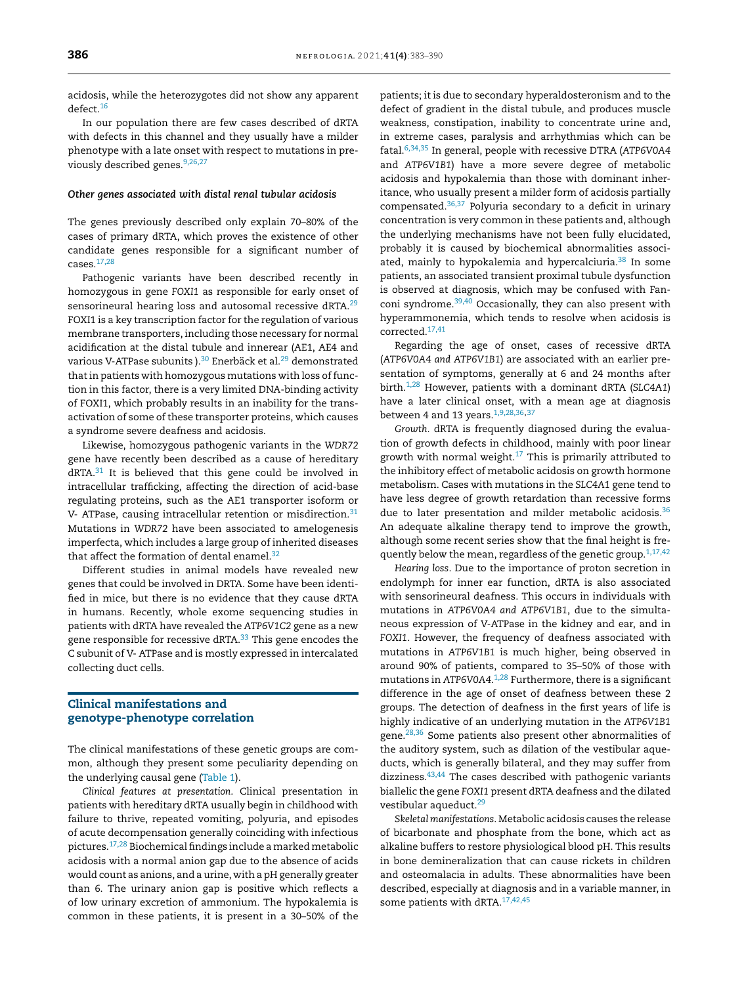acidosis, while the heterozygotes did not show any apparent defect.[16](#page-6-0)

In our population there are few cases described of dRTA with defects in this channel and they usually have a milder phenotype with a late onset with respect to mutations in pre-viously described genes.<sup>[9,26,27](#page-5-0)</sup>

## *Other genes associated with distal renal tubular acidosis*

The genes previously described only explain 70–80% of the cases of primary dRTA, which proves the existence of other candidate genes responsible for a significant number of cases.[17,28](#page-6-0)

Pathogenic variants have been described recently in homozygous in gene *FOXI1* as responsible for early onset of sensorineural hearing loss and autosomal recessive dRTA.<sup>[29](#page-6-0)</sup> FOXI1 is a key transcription factor for the regulation of various membrane transporters, including those necessary for normal acidification at the distal tubule and innerear (AE1, AE4 and various V-ATPase subunits ).<sup>[30](#page-6-0)</sup> Enerbäck et al.<sup>[29](#page-6-0)</sup> demonstrated thatin patients with homozygous mutations with loss of function in this factor, there is a very limited DNA-binding activity of FOXI1, which probably results in an inability for the transactivation of some of these transporter proteins, which causes a syndrome severe deafness and acidosis.

Likewise, homozygous pathogenic variants in the *WDR72* gene have recently been described as a cause of hereditary  $dRTA.31$  $dRTA.31$  It is believed that this gene could be involved in intracellular trafficking, affecting the direction of acid-base regulating proteins, such as the AE1 transporter isoform or V- ATPase, causing intracellular retention or misdirection.<sup>[31](#page-6-0)</sup> Mutations in *WDR72* have been associated to amelogenesis imperfecta, which includes a large group of inherited diseases that affect the formation of dental enamel. $32$ 

Different studies in animal models have revealed new genes that could be involved in DRTA. Some have been identified in mice, but there is no evidence that they cause dRTA in humans. Recently, whole exome sequencing studies in patients with dRTA have revealed the *ATP6V1C2* gene as a new gene responsible for recessive dRTA.<sup>[33](#page-6-0)</sup> This gene encodes the C subunit of V- ATPase and is mostly expressed in intercalated collecting duct cells.

## Clinical manifestations and genotype-phenotype correlation

The clinical manifestations of these genetic groups are common, although they present some peculiarity depending on the underlying causal gene ([Table](#page-4-0) 1).

*Clinical features at presentation*. Clinical presentation in patients with hereditary dRTA usually begin in childhood with failure to thrive, repeated vomiting, polyuria, and episodes of acute decompensation generally coinciding with infectious pictures.[17,28](#page-6-0) Biochemical findings include a marked metabolic acidosis with a normal anion gap due to the absence of acids would count as anions, and a urine, with a pH generally greater than 6. The urinary anion gap is positive which reflects a of low urinary excretion of ammonium. The hypokalemia is common in these patients, it is present in a 30–50% of the

patients; it is due to secondary hyperaldosteronism and to the defect of gradient in the distal tubule, and produces muscle weakness, constipation, inability to concentrate urine and, in extreme cases, paralysis and arrhythmias which can be fatal.[6,34,35](#page-5-0) In general, people with recessive DTRA (*ATP6V0A4* and *ATP6V1B1*) have a more severe degree of metabolic acidosis and hypokalemia than those with dominant inheritance, who usually present a milder form of acidosis partially compensated. $36,37$  Polyuria secondary to a deficit in urinary concentration is very common in these patients and, although the underlying mechanisms have not been fully elucidated, probably it is caused by biochemical abnormalities associ-ated, mainly to hypokalemia and hypercalciuria.<sup>[38](#page-6-0)</sup> In some patients, an associated transient proximal tubule dysfunction is observed at diagnosis, which may be confused with Fan-coni syndrome.<sup>[39,40](#page-6-0)</sup> Occasionally, they can also present with hyperammonemia, which tends to resolve when acidosis is corrected.[17,41](#page-6-0)

Regarding the age of onset, cases of recessive dRTA (*ATP6V0A4 and ATP6V1B1*) are associated with an earlier presentation of symptoms, generally at 6 and 24 months after birth.[1,28](#page-5-0) However, patients with a dominant dRTA (*SLC4A1*) have a later clinical onset, with a mean age at diagnosis between 4 and 13 years.  $1,9,28,36,37$  $1,9,28,36,37$ 

*Growth.* dRTA is frequently diagnosed during the evaluation of growth defects in childhood, mainly with poor linear growth with normal weight. $17$  This is primarily attributed to the inhibitory effect of metabolic acidosis on growth hormone metabolism. Cases with mutations in the *SLC4A1* gene tend to have less degree of growth retardation than recessive forms due to later presentation and milder metabolic acidosis.<sup>[36](#page-6-0)</sup> An adequate alkaline therapy tend to improve the growth, although some recent series show that the final height is fre-quently below the mean, regardless of the genetic group.<sup>[1,17,42](#page-5-0)</sup>

*Hearing loss*. Due to the importance of proton secretion in endolymph for inner ear function, dRTA is also associated with sensorineural deafness. This occurs in individuals with mutations in *ATP6V0A4 and ATP6V1B1*, due to the simultaneous expression of V-ATPase in the kidney and ear, and in *FOXI1*. However, the frequency of deafness associated with mutations in *ATP6V1B1* is much higher, being observed in around 90% of patients, compared to 35–50% of those with mutations in *ATP6V0A4*. [1,28](#page-5-0) Furthermore, there is a significant difference in the age of onset of deafness between these 2 groups. The detection of deafness in the first years of life is highly indicative of an underlying mutation in the *ATP6V1B1* gene.[28,36](#page-6-0) Some patients also present other abnormalities of the auditory system, such as dilation of the vestibular aqueducts, which is generally bilateral, and they may suffer from dizziness. $43,44$  The cases described with pathogenic variants biallelic the gene *FOXI1* present dRTA deafness and the dilated vestibular aqueduct.<sup>[29](#page-6-0)</sup>

*Skeletal manifestations*. Metabolic acidosis causes the release of bicarbonate and phosphate from the bone, which act as alkaline buffers to restore physiological blood pH. This results in bone demineralization that can cause rickets in children and osteomalacia in adults. These abnormalities have been described, especially at diagnosis and in a variable manner, in some patients with dRTA.[17,42,45](#page-6-0)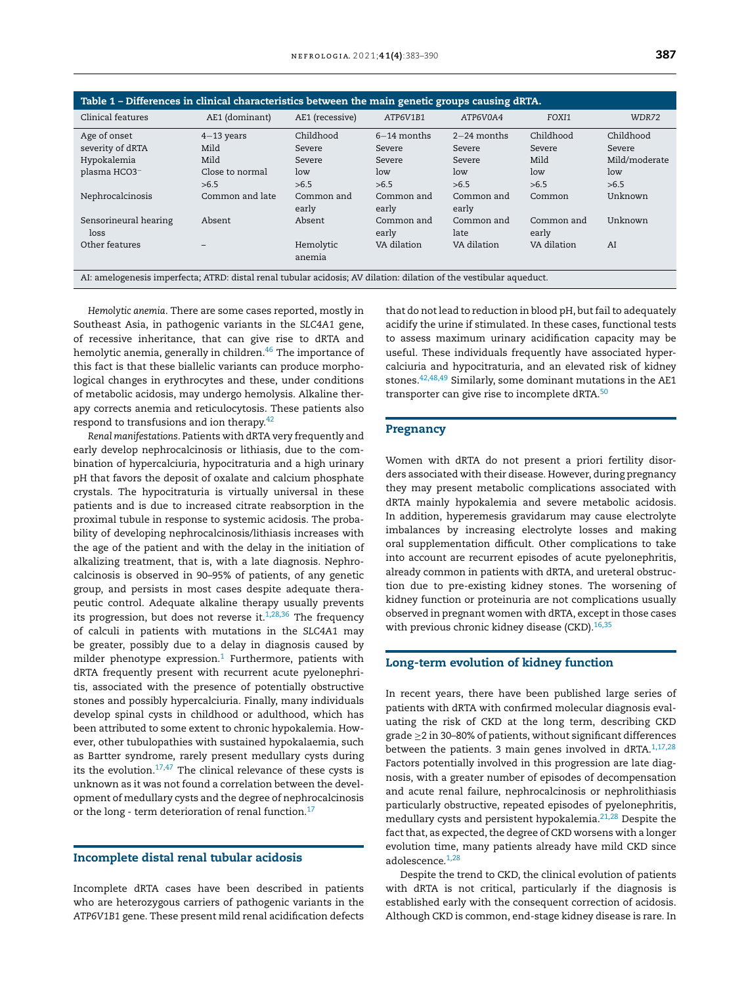<span id="page-4-0"></span>

| Table 1 – Differences in clinical characteristics between the main genetic groups causing dRTA.                     |                                                 |                                      |                                          |                                          |                                    |                                             |
|---------------------------------------------------------------------------------------------------------------------|-------------------------------------------------|--------------------------------------|------------------------------------------|------------------------------------------|------------------------------------|---------------------------------------------|
| Clinical features                                                                                                   | AE1 (dominant)                                  | AE1 (recessive)                      | ATP6V1B1                                 | ATP6V0A4                                 | FOXI1                              | WDR72                                       |
| Age of onset<br>severity of dRTA<br>Hypokalemia<br>plasma HCO3 <sup>-</sup>                                         | $4-13$ years<br>Mild<br>Mild<br>Close to normal | Childhood<br>Severe<br>Severe<br>low | $6-14$ months<br>Severe<br>Severe<br>low | $2-24$ months<br>Severe<br>Severe<br>low | Childhood<br>Severe<br>Mild<br>low | Childhood<br>Severe<br>Mild/moderate<br>low |
| Nephrocalcinosis                                                                                                    | >6.5<br>Common and late                         | >6.5<br>Common and<br>early          | >6.5<br>Common and<br>early              | >6.5<br>Common and<br>early              | >6.5<br>Common                     | >6.5<br>Unknown                             |
| Sensorineural hearing<br>loss                                                                                       | Absent                                          | Absent                               | Common and<br>early                      | Common and<br>late                       | Common and<br>early                | Unknown                                     |
| Other features                                                                                                      |                                                 | Hemolytic<br>anemia                  | VA dilation                              | VA dilation                              | VA dilation                        | AI                                          |
| AI: amelogenesis imperfecta; ATRD: distal renal tubular acidosis; AV dilation: dilation of the vestibular aqueduct. |                                                 |                                      |                                          |                                          |                                    |                                             |

*Hemolytic anemia*. There are some cases reported, mostly in Southeast Asia, in pathogenic variants in the *SLC4A1* gene, of recessive inheritance, that can give rise to dRTA and hemolytic anemia, generally in children.<sup>[46](#page-7-0)</sup> The importance of this fact is that these biallelic variants can produce morphological changes in erythrocytes and these, under conditions of metabolic acidosis, may undergo hemolysis. Alkaline therapy corrects anemia and reticulocytosis. These patients also respond to transfusions and ion therapy.<sup>[42](#page-7-0)</sup>

*Renal manifestations*. Patients with dRTA very frequently and early develop nephrocalcinosis or lithiasis, due to the combination of hypercalciuria, hypocitraturia and a high urinary pH that favors the deposit of oxalate and calcium phosphate crystals. The hypocitraturia is virtually universal in these patients and is due to increased citrate reabsorption in the proximal tubule in response to systemic acidosis. The probability of developing nephrocalcinosis/lithiasis increases with the age of the patient and with the delay in the initiation of alkalizing treatment, that is, with a late diagnosis. Nephrocalcinosis is observed in 90–95% of patients, of any genetic group, and persists in most cases despite adequate therapeutic control. Adequate alkaline therapy usually prevents its progression, but does not reverse it. $1,28,36$  The frequency of calculi in patients with mutations in the *SLC4A1* may be greater, possibly due to a delay in diagnosis caused by milder phenotype expression.<sup>[1](#page-5-0)</sup> Furthermore, patients with dRTA frequently present with recurrent acute pyelonephritis, associated with the presence of potentially obstructive stones and possibly hypercalciuria. Finally, many individuals develop spinal cysts in childhood or adulthood, which has been attributed to some extent to chronic hypokalemia. However, other tubulopathies with sustained hypokalaemia, such as Bartter syndrome, rarely present medullary cysts during its the evolution. $17,47$  The clinical relevance of these cysts is unknown as it was not found a correlation between the development of medullary cysts and the degree of nephrocalcinosis or the long - term deterioration of renal function.<sup>[17](#page-6-0)</sup>

## Incomplete distal renal tubular acidosis

Incomplete dRTA cases have been described in patients who are heterozygous carriers of pathogenic variants in the *ATP6V1B1* gene. These present mild renal acidification defects

that do not lead to reduction in blood pH, but fail to adequately acidify the urine if stimulated. In these cases, functional tests to assess maximum urinary acidification capacity may be useful. These individuals frequently have associated hypercalciuria and hypocitraturia, and an elevated risk of kidney stones.[42,48,49](#page-7-0) Similarly, some dominant mutations in the AE1 transporter can give rise to incomplete dRTA.<sup>[50](#page-7-0)</sup>

#### Pregnancy

Women with dRTA do not present a priori fertility disorders associated with their disease. However, during pregnancy they may present metabolic complications associated with dRTA mainly hypokalemia and severe metabolic acidosis. In addition, hyperemesis gravidarum may cause electrolyte imbalances by increasing electrolyte losses and making oral supplementation difficult. Other complications to take into account are recurrent episodes of acute pyelonephritis, already common in patients with dRTA, and ureteral obstruction due to pre-existing kidney stones. The worsening of kidney function or proteinuria are not complications usually observed in pregnant women with dRTA, except in those cases with previous chronic kidney disease (CKD).  $16,35$ 

## Long-term evolution of kidney function

In recent years, there have been published large series of patients with dRTA with confirmed molecular diagnosis evaluating the risk of CKD at the long term, describing CKD grade ≥2 in 30–80% of patients, without significant differences between the patients. 3 main genes involved in dRTA. $1,17,28$ Factors potentially involved in this progression are late diagnosis, with a greater number of episodes of decompensation and acute renal failure, nephrocalcinosis or nephrolithiasis particularly obstructive, repeated episodes of pyelonephritis, medullary cysts and persistent hypokalemia. $21,28$  Despite the fact that, as expected, the degree of CKD worsens with a longer evolution time, many patients already have mild CKD since adolescence.<sup>[1,28](#page-5-0)</sup>

Despite the trend to CKD, the clinical evolution of patients with dRTA is not critical, particularly if the diagnosis is established early with the consequent correction of acidosis. Although CKD is common, end-stage kidney disease is rare. In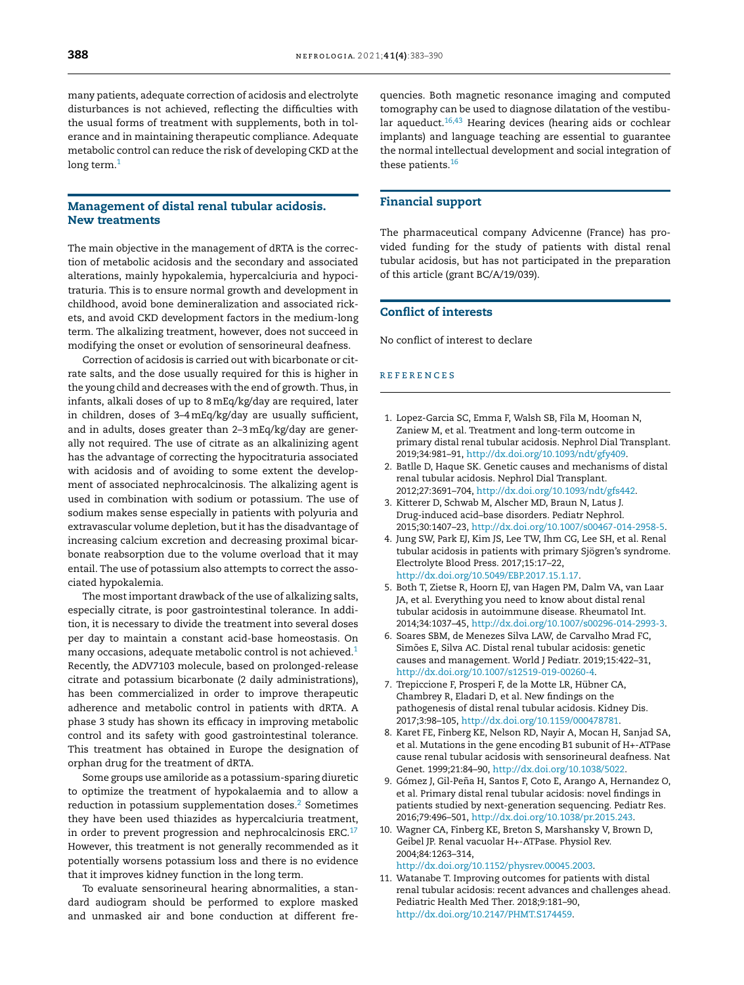<span id="page-5-0"></span>many patients, adequate correction of acidosis and electrolyte disturbances is not achieved, reflecting the difficulties with the usual forms of treatment with supplements, both in tolerance and in maintaining therapeutic compliance. Adequate metabolic control can reduce the risk of developing CKD at the long term. $<sup>1</sup>$ </sup>

## Management of distal renal tubular acidosis. New treatments

The main objective in the management of dRTA is the correction of metabolic acidosis and the secondary and associated alterations, mainly hypokalemia, hypercalciuria and hypocitraturia. This is to ensure normal growth and development in childhood, avoid bone demineralization and associated rickets, and avoid CKD development factors in the medium-long term. The alkalizing treatment, however, does not succeed in modifying the onset or evolution of sensorineural deafness.

Correction of acidosis is carried out with bicarbonate or citrate salts, and the dose usually required for this is higher in the young child and decreases with the end of growth. Thus, in infants, alkali doses of up to 8 mEq/kg/day are required, later in children, doses of 3–4mEq/kg/day are usually sufficient, and in adults, doses greater than 2–3mEq/kg/day are generally not required. The use of citrate as an alkalinizing agent has the advantage of correcting the hypocitraturia associated with acidosis and of avoiding to some extent the development of associated nephrocalcinosis. The alkalizing agent is used in combination with sodium or potassium. The use of sodium makes sense especially in patients with polyuria and extravascular volume depletion, but it has the disadvantage of increasing calcium excretion and decreasing proximal bicarbonate reabsorption due to the volume overload that it may entail. The use of potassium also attempts to correct the associated hypokalemia.

The most important drawback of the use of alkalizing salts, especially citrate, is poor gastrointestinal tolerance. In addition, it is necessary to divide the treatment into several doses per day to maintain a constant acid-base homeostasis. On many occasions, adequate metabolic control is not achieved.<sup>1</sup> Recently, the ADV7103 molecule, based on prolonged-release citrate and potassium bicarbonate (2 daily administrations), has been commercialized in order to improve therapeutic adherence and metabolic control in patients with dRTA. A phase 3 study has shown its efficacy in improving metabolic control and its safety with good gastrointestinal tolerance. This treatment has obtained in Europe the designation of orphan drug for the treatment of dRTA.

Some groups use amiloride as a potassium-sparing diuretic to optimize the treatment of hypokalaemia and to allow a reduction in potassium supplementation doses.<sup>2</sup> Sometimes they have been used thiazides as hypercalciuria treatment, in order to prevent progression and nephrocalcinosis ERC. $17$ However, this treatment is not generally recommended as it potentially worsens potassium loss and there is no evidence that it improves kidney function in the long term.

To evaluate sensorineural hearing abnormalities, a standard audiogram should be performed to explore masked and unmasked air and bone conduction at different frequencies. Both magnetic resonance imaging and computed tomography can be used to diagnose dilatation of the vestibular aqueduct. $16,43$  Hearing devices (hearing aids or cochlear implants) and language teaching are essential to guarantee the normal intellectual development and social integration of these patients.<sup>[16](#page-6-0)</sup>

## Financial support

The pharmaceutical company Advicenne (France) has provided funding for the study of patients with distal renal tubular acidosis, but has not participated in the preparation of this article (grant BC/A/19/039).

## Conflict of interests

No conflict of interest to declare

#### r e f e r enc e s

- 1. Lopez-Garcia SC, Emma F, Walsh SB, Fila M, Hooman N, Zaniew M, et al. Treatment and long-term outcome in primary distal renal tubular acidosis. Nephrol Dial Transplant. 2019;34:981–91, [http://dx.doi.org/10.1093/ndt/gfy409](dx.doi.org/10.1093/ndt/gfy409).
- 2. Batlle D, Haque SK. Genetic causes and mechanisms of distal renal tubular acidosis. Nephrol Dial Transplant. 2012;27:3691–704, [http://dx.doi.org/10.1093/ndt/gfs442](dx.doi.org/10.1093/ndt/gfs442).
- 3. Kitterer D, Schwab M, Alscher MD, Braun N, Latus J. Drug-induced acid–base disorders. Pediatr Nephrol. 2015;30:1407–23, [http://dx.doi.org/10.1007/s00467-014-2958-5](dx.doi.org/10.1007/s00467-014-2958-5).
- 4. Jung SW, Park EJ, Kim JS, Lee TW, Ihm CG, Lee SH, et al. Renal tubular acidosis in patients with primary Sjögren's syndrome. Electrolyte Blood Press. 2017;15:17–22, [http://dx.doi.org/10.5049/EBP.2017.15.1.17.](dx.doi.org/10.5049/EBP.2017.15.1.17)
- 5. Both T, Zietse R, Hoorn EJ, van Hagen PM, Dalm VA, van Laar JA, et al. Everything you need to know about distal renal tubular acidosis in autoimmune disease. Rheumatol Int. 2014;34:1037–45, [http://dx.doi.org/10.1007/s00296-014-2993-3](dx.doi.org/10.1007/s00296-014-2993-3).
- 6. Soares SBM, de Menezes Silva LAW, de Carvalho Mrad FC, Simões E, Silva AC. Distal renal tubular acidosis: genetic causes and management. World J Pediatr. 2019;15:422–31, [http://dx.doi.org/10.1007/s12519-019-00260-4.](dx.doi.org/10.1007/s12519-019-00260-4)
- 7. Trepiccione F, Prosperi F, de la Motte LR, Hübner CA, Chambrey R, Eladari D, et al. New findings on the pathogenesis of distal renal tubular acidosis. Kidney Dis. 2017;3:98–105, [http://dx.doi.org/10.1159/000478781.](dx.doi.org/10.1159/000478781)
- 8. Karet FE, Finberg KE, Nelson RD, Nayir A, Mocan H, Sanjad SA, et al. Mutations in the gene encoding B1 subunit of H+-ATPase cause renal tubular acidosis with sensorineural deafness. Nat Genet. 1999;21:84–90, [http://dx.doi.org/10.1038/5022.](dx.doi.org/10.1038/5022)
- 9. Gómez J, Gil-Peña H, Santos F, Coto E, Arango A, Hernandez O, et al. Primary distal renal tubular acidosis: novel findings in patients studied by next-generation sequencing. Pediatr Res. 2016;79:496–501, [http://dx.doi.org/10.1038/pr.2015.243](dx.doi.org/10.1038/pr.2015.243).
- 10. Wagner CA, Finberg KE, Breton S, Marshansky V, Brown D, Geibel JP. Renal vacuolar H+-ATPase. Physiol Rev. 2004;84:1263–314, [http://dx.doi.org/10.1152/physrev.00045.2003](dx.doi.org/10.1152/physrev.00045.2003).
- 11. Watanabe T. Improving outcomes for patients with distal renal tubular acidosis: recent advances and challenges ahead. Pediatric Health Med Ther. 2018;9:181–90, [http://dx.doi.org/10.2147/PHMT.S174459](dx.doi.org/10.2147/PHMT.S174459).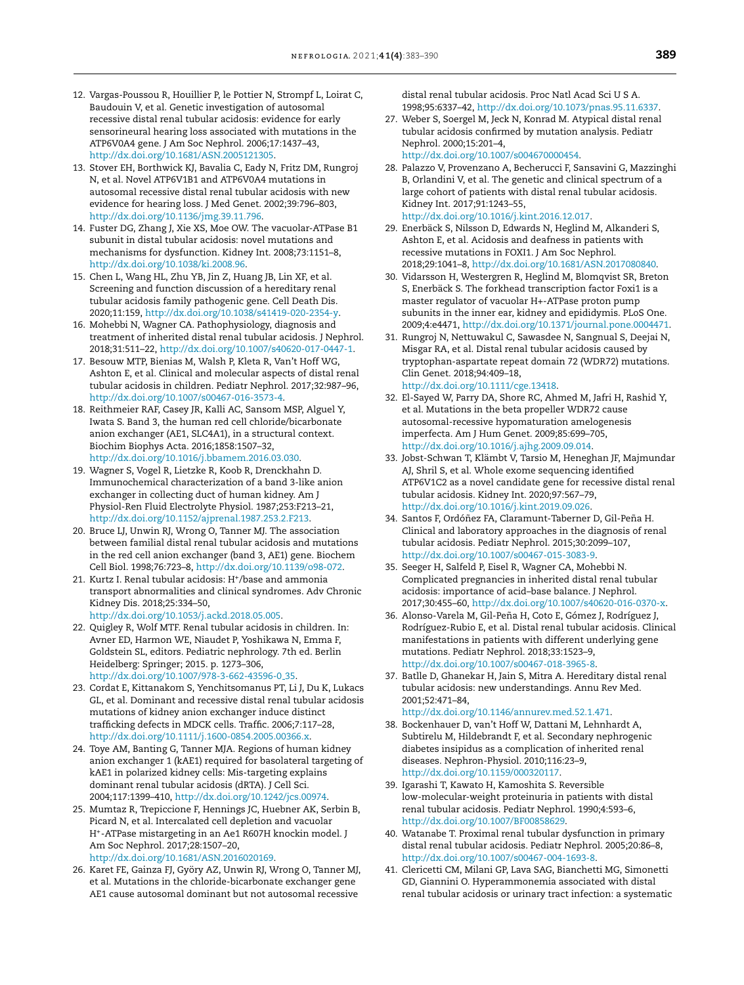- <span id="page-6-0"></span>12. Vargas-Poussou R, Houillier P, le Pottier N, Strompf L, Loirat C, Baudouin V, et al. Genetic investigation of autosomal recessive distal renal tubular acidosis: evidence for early sensorineural hearing loss associated with mutations in the ATP6V0A4 gene. J Am Soc Nephrol. 2006;17:1437–43, [http://dx.doi.org/10.1681/ASN.2005121305.](dx.doi.org/10.1681/ASN.2005121305)
- 13. Stover EH, Borthwick KJ, Bavalia C, Eady N, Fritz DM, Rungroj N, et al. Novel ATP6V1B1 and ATP6V0A4 mutations in autosomal recessive distal renal tubular acidosis with new evidence for hearing loss. J Med Genet. 2002;39:796–803, [http://dx.doi.org/10.1136/jmg.39.11.796.](dx.doi.org/10.1136/jmg.39.11.796)
- 14. Fuster DG, Zhang J, Xie XS, Moe OW. The vacuolar-ATPase B1 subunit in distal tubular acidosis: novel mutations and mechanisms for dysfunction. Kidney Int. 2008;73:1151–8, [http://dx.doi.org/10.1038/ki.2008.96](dx.doi.org/10.1038/ki.2008.96).
- 15. Chen L, Wang HL, Zhu YB, Jin Z, Huang JB, Lin XF, et al. Screening and function discussion of a hereditary renal tubular acidosis family pathogenic gene. Cell Death Dis. 2020;11:159, [http://dx.doi.org/10.1038/s41419-020-2354-y.](dx.doi.org/10.1038/s41419-020-2354-y)
- 16. Mohebbi N, Wagner CA. Pathophysiology, diagnosis and treatment of inherited distal renal tubular acidosis. J Nephrol. 2018;31:511–22, [http://dx.doi.org/10.1007/s40620-017-0447-1.](dx.doi.org/10.1007/s40620-017-0447-1)
- 17. Besouw MTP, Bienias M, Walsh P, Kleta R, Van't Hoff WG, Ashton E, et al. Clinical and molecular aspects of distal renal tubular acidosis in children. Pediatr Nephrol. 2017;32:987–96, [http://dx.doi.org/10.1007/s00467-016-3573-4](dx.doi.org/10.1007/s00467-016-3573-4).
- 18. Reithmeier RAF, Casey JR, Kalli AC, Sansom MSP, Alguel Y, Iwata S. Band 3, the human red cell chloride/bicarbonate anion exchanger (AE1, SLC4A1), in a structural context. Biochim Biophys Acta. 2016;1858:1507–32, [http://dx.doi.org/10.1016/j.bbamem.2016.03.030.](dx.doi.org/10.1016/j.bbamem.2016.03.030)
- 19. Wagner S, Vogel R, Lietzke R, Koob R, Drenckhahn D. Immunochemical characterization of a band 3-like anion exchanger in collecting duct of human kidney. Am J Physiol-Ren Fluid Electrolyte Physiol. 1987;253:F213–21, [http://dx.doi.org/10.1152/ajprenal.1987.253.2.F213.](dx.doi.org/10.1152/ajprenal.1987.253.2.F213)
- 20. Bruce LJ, Unwin RJ, Wrong O, Tanner MJ. The association between familial distal renal tubular acidosis and mutations in the red cell anion exchanger (band 3, AE1) gene. Biochem Cell Biol. 1998;76:723–8, [http://dx.doi.org/10.1139/o98-072](dx.doi.org/10.1139/o98-072).
- 21. Kurtz I. Renal tubular acidosis: H<sup>+</sup> /base and ammonia transport abnormalities and clinical syndromes. Adv Chronic Kidney Dis. 2018;25:334–50, [http://dx.doi.org/10.1053/j.ackd.2018.05.005.](dx.doi.org/10.1053/j.ackd.2018.05.005)
- 22. Quigley R, Wolf MTF. Renal tubular acidosis in children. In: Avner ED, Harmon WE, Niaudet P, Yoshikawa N, Emma F, Goldstein SL, editors. Pediatric nephrology. 7th ed. Berlin Heidelberg: Springer; 2015. p. 1273–306, [http://dx.doi.org/10.1007/978-3-662-43596-0](dx.doi.org/10.1007/978-3-662-43596-0_35) 35.
- 23. Cordat E, Kittanakom S, Yenchitsomanus PT, Li J, Du K, Lukacs GL, et al. Dominant and recessive distal renal tubular acidosis mutations of kidney anion exchanger induce distinct trafficking defects in MDCK cells. Traffic. 2006;7:117–28, [http://dx.doi.org/10.1111/j.1600-0854.2005.00366.x](dx.doi.org/10.1111/j.1600-0854.2005.00366.x).
- 24. Toye AM, Banting G, Tanner MJA. Regions of human kidney anion exchanger 1 (kAE1) required for basolateral targeting of kAE1 in polarized kidney cells: Mis-targeting explains dominant renal tubular acidosis (dRTA). J Cell Sci. 2004;117:1399–410, [http://dx.doi.org/10.1242/jcs.00974](dx.doi.org/10.1242/jcs.00974).
- 25. Mumtaz R, Trepiccione F, Hennings JC, Huebner AK, Serbin B, Picard N, et al. Intercalated cell depletion and vacuolar H<sup>+</sup> -ATPase mistargeting in an Ae1 R607H knockin model. J Am Soc Nephrol. 2017;28:1507–20, [http://dx.doi.org/10.1681/ASN.2016020169.](dx.doi.org/10.1681/ASN.2016020169)
- 26. Karet FE, Gainza FJ, Györy AZ, Unwin RJ, Wrong O, Tanner MJ, et al. Mutations in the chloride-bicarbonate exchanger gene AE1 cause autosomal dominant but not autosomal recessive

distal renal tubular acidosis. Proc Natl Acad Sci U S A. 1998;95:6337–42, [http://dx.doi.org/10.1073/pnas.95.11.6337](dx.doi.org/10.1073/pnas.95.11.6337).

- 27. Weber S, Soergel M, Jeck N, Konrad M. Atypical distal renal tubular acidosis confirmed by mutation analysis. Pediatr Nephrol. 2000;15:201–4, [http://dx.doi.org/10.1007/s004670000454.](dx.doi.org/10.1007/s004670000454)
- 28. Palazzo V, Provenzano A, Becherucci F, Sansavini G, Mazzinghi B, Orlandini V, et al. The genetic and clinical spectrum of a large cohort of patients with distal renal tubular acidosis. Kidney Int. 2017;91:1243–55, [http://dx.doi.org/10.1016/j.kint.2016.12.017](dx.doi.org/10.1016/j.kint.2016.12.017).
- 29. Enerbäck S, Nilsson D, Edwards N, Heglind M, Alkanderi S, Ashton E, et al. Acidosis and deafness in patients with recessive mutations in FOXI1. J Am Soc Nephrol. 2018;29:1041–8, [http://dx.doi.org/10.1681/ASN.2017080840](dx.doi.org/10.1681/ASN.2017080840).
- 30. Vidarsson H, Westergren R, Heglind M, Blomqvist SR, Breton S, Enerbäck S. The forkhead transcription factor Foxi1 is a master regulator of vacuolar H+-ATPase proton pump subunits in the inner ear, kidney and epididymis. PLoS One. 2009;4:e4471, [http://dx.doi.org/10.1371/journal.pone.0004471.](dx.doi.org/10.1371/journal.pone.0004471)
- 31. Rungroj N, Nettuwakul C, Sawasdee N, Sangnual S, Deejai N, Misgar RA, et al. Distal renal tubular acidosis caused by tryptophan-aspartate repeat domain 72 (WDR72) mutations. Clin Genet. 2018;94:409–18, [http://dx.doi.org/10.1111/cge.13418](dx.doi.org/10.1111/cge.13418).
- 32. El-Sayed W, Parry DA, Shore RC, Ahmed M, Jafri H, Rashid Y, et al. Mutations in the beta propeller WDR72 cause autosomal-recessive hypomaturation amelogenesis imperfecta. Am J Hum Genet. 2009;85:699–705, [http://dx.doi.org/10.1016/j.ajhg.2009.09.014](dx.doi.org/10.1016/j.ajhg.2009.09.014).
- 33. Jobst-Schwan T, Klämbt V, Tarsio M, Heneghan JF, Majmundar AJ, Shril S, et al. Whole exome sequencing identified ATP6V1C2 as a novel candidate gene for recessive distal renal tubular acidosis. Kidney Int. 2020;97:567–79, [http://dx.doi.org/10.1016/j.kint.2019.09.026](dx.doi.org/10.1016/j.kint.2019.09.026).
- 34. Santos F, Ordóñez FA, Claramunt-Taberner D, Gil-Peña H. Clinical and laboratory approaches in the diagnosis of renal tubular acidosis. Pediatr Nephrol. 2015;30:2099–107, [http://dx.doi.org/10.1007/s00467-015-3083-9](dx.doi.org/10.1007/s00467-015-3083-9).
- 35. Seeger H, Salfeld P, Eisel R, Wagner CA, Mohebbi N. Complicated pregnancies in inherited distal renal tubular acidosis: importance of acid–base balance. J Nephrol. 2017;30:455–60, [http://dx.doi.org/10.1007/s40620-016-0370-x](dx.doi.org/10.1007/s40620-016-0370-x).
- 36. Alonso-Varela M, Gil-Peña H, Coto E, Gómez J, Rodríguez J, Rodríguez-Rubio E, et al. Distal renal tubular acidosis. Clinical manifestations in patients with different underlying gene mutations. Pediatr Nephrol. 2018;33:1523–9, [http://dx.doi.org/10.1007/s00467-018-3965-8](dx.doi.org/10.1007/s00467-018-3965-8).
- 37. Batlle D, Ghanekar H, Jain S, Mitra A. Hereditary distal renal tubular acidosis: new understandings. Annu Rev Med. 2001;52:471–84,
- [http://dx.doi.org/10.1146/annurev.med.52.1.471.](dx.doi.org/10.1146/annurev.med.52.1.471) 38. Bockenhauer D, van't Hoff W, Dattani M, Lehnhardt A, Subtirelu M, Hildebrandt F, et al. Secondary nephrogenic diabetes insipidus as a complication of inherited renal diseases. Nephron-Physiol. 2010;116:23–9, [http://dx.doi.org/10.1159/000320117.](dx.doi.org/10.1159/000320117)
- 39. Igarashi T, Kawato H, Kamoshita S. Reversible low-molecular-weight proteinuria in patients with distal renal tubular acidosis. Pediatr Nephrol. 1990;4:593–6, [http://dx.doi.org/10.1007/BF00858629](dx.doi.org/10.1007/BF00858629).
- 40. Watanabe T. Proximal renal tubular dysfunction in primary distal renal tubular acidosis. Pediatr Nephrol. 2005;20:86–8, [http://dx.doi.org/10.1007/s00467-004-1693-8](dx.doi.org/10.1007/s00467-004-1693-8).
- 41. Clericetti CM, Milani GP, Lava SAG, Bianchetti MG, Simonetti GD, Giannini O. Hyperammonemia associated with distal renal tubular acidosis or urinary tract infection: a systematic